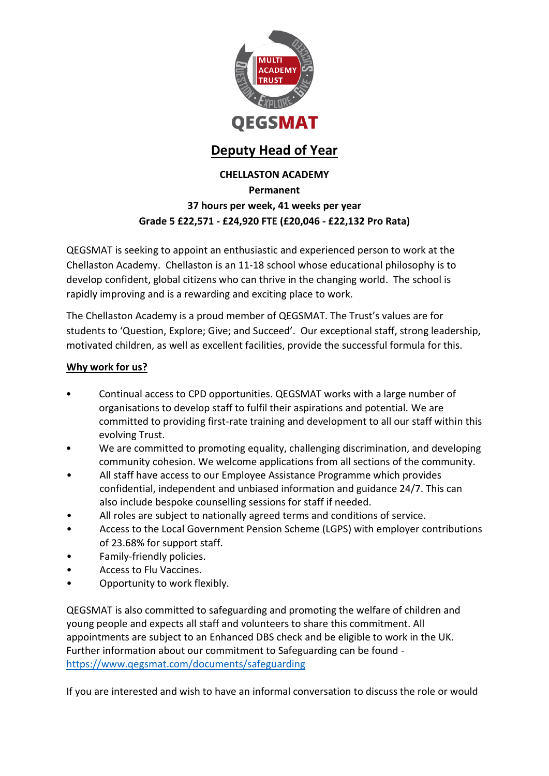

# **Deputy Head of Year**

### **CHELLASTON ACADEMY Permanent 37 hours per week, 41 weeks per year Grade 5 £22,571 - £24,920 FTE (£20,046 - £22,132 Pro Rata)**

QEGSMAT is seeking to appoint an enthusiastic and experienced person to work at the Chellaston Academy. Chellaston is an 11-18 school whose educational philosophy is to develop confident, global citizens who can thrive in the changing world. The school is rapidly improving and is a rewarding and exciting place to work.

The Chellaston Academy is a proud member of QEGSMAT. The Trust's values are for students to 'Question, Explore; Give; and Succeed'. Our exceptional staff, strong leadership, motivated children, as well as excellent facilities, provide the successful formula for this.

### **Why work for us?**

- Continual access to CPD opportunities. QEGSMAT works with a large number of organisations to develop staff to fulfil their aspirations and potential. We are committed to providing first-rate training and development to all our staff within this evolving Trust.
- We are committed to promoting equality, challenging discrimination, and developing community cohesion. We welcome applications from all sections of the community.
- All staff have access to our Employee Assistance Programme which provides confidential, independent and unbiased information and guidance 24/7. This can also include bespoke counselling sessions for staff if needed.
- All roles are subject to nationally agreed terms and conditions of service.
- Access to the Local Government Pension Scheme (LGPS) with employer contributions of 23.68% for support staff.
- Family-friendly policies.
- Access to Flu Vaccines.
- Opportunity to work flexibly.

QEGSMAT is also committed to safeguarding and promoting the welfare of children and young people and expects all staff and volunteers to share this commitment. All appointments are subject to an Enhanced DBS check and be eligible to work in the UK. Further information about our commitment to Safeguarding can be found <https://www.qegsmat.com/documents/safeguarding>

If you are interested and wish to have an informal conversation to discuss the role or would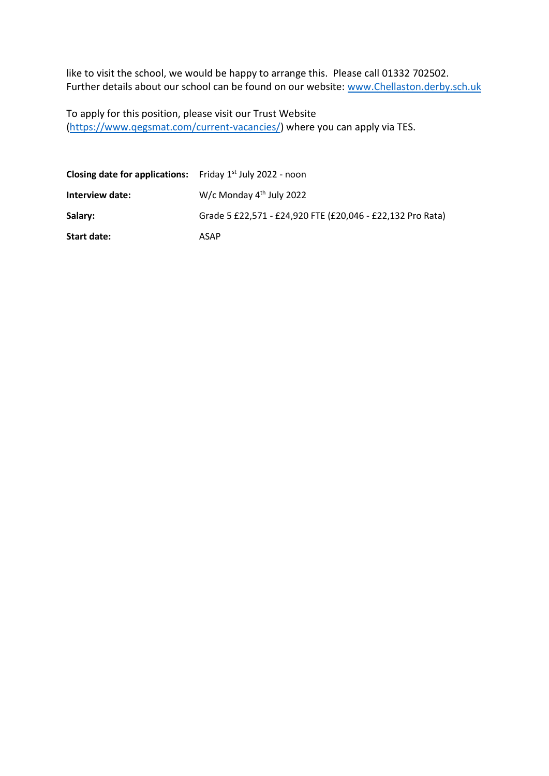like to visit the school, we would be happy to arrange this. Please call 01332 702502. Further details about our school can be found on our website: [www.Chellaston.derby.sch.uk](http://www.chellaston.derby.sch.uk/)

To apply for this position, please visit our Trust Website [\(https://www.qegsmat.com/current-vacancies/\)](https://www.qegsmat.com/current-vacancies/) where you can apply via TES.

| <b>Closing date for applications:</b> Friday $1st$ July 2022 - noon |                                                            |
|---------------------------------------------------------------------|------------------------------------------------------------|
| Interview date:                                                     | W/c Monday $4th$ July 2022                                 |
| Salary:                                                             | Grade 5 £22,571 - £24,920 FTE (£20,046 - £22,132 Pro Rata) |
| Start date:                                                         | ASAP                                                       |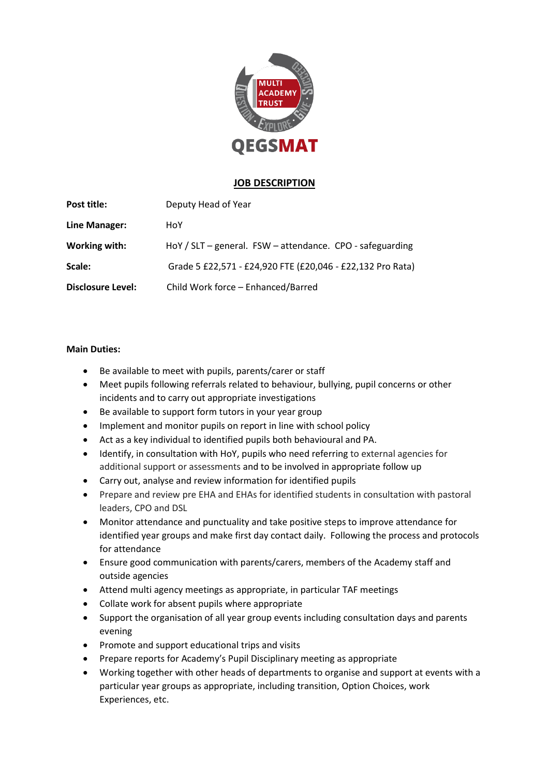

#### **JOB DESCRIPTION**

| Post title:              | Deputy Head of Year                                        |
|--------------------------|------------------------------------------------------------|
| Line Manager:            | HoY                                                        |
| Working with:            | HoY / SLT - general. FSW - attendance. CPO - safeguarding  |
| Scale:                   | Grade 5 £22,571 - £24,920 FTE (£20,046 - £22,132 Pro Rata) |
| <b>Disclosure Level:</b> | Child Work force - Enhanced/Barred                         |

#### **Main Duties:**

- Be available to meet with pupils, parents/carer or staff
- Meet pupils following referrals related to behaviour, bullying, pupil concerns or other incidents and to carry out appropriate investigations
- Be available to support form tutors in your year group
- Implement and monitor pupils on report in line with school policy
- Act as a key individual to identified pupils both behavioural and PA.
- Identify, in consultation with HoY, pupils who need referring to external agencies for additional support or assessments and to be involved in appropriate follow up
- Carry out, analyse and review information for identified pupils
- Prepare and review pre EHA and EHAs for identified students in consultation with pastoral leaders, CPO and DSL
- Monitor attendance and punctuality and take positive steps to improve attendance for identified year groups and make first day contact daily. Following the process and protocols for attendance
- Ensure good communication with parents/carers, members of the Academy staff and outside agencies
- Attend multi agency meetings as appropriate, in particular TAF meetings
- Collate work for absent pupils where appropriate
- Support the organisation of all year group events including consultation days and parents evening
- Promote and support educational trips and visits
- Prepare reports for Academy's Pupil Disciplinary meeting as appropriate
- Working together with other heads of departments to organise and support at events with a particular year groups as appropriate, including transition, Option Choices, work Experiences, etc.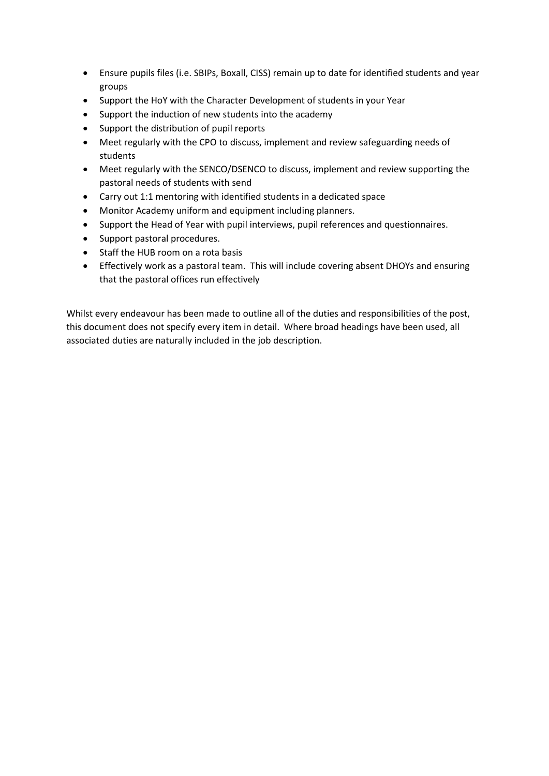- Ensure pupils files (i.e. SBIPs, Boxall, CISS) remain up to date for identified students and year groups
- Support the HoY with the Character Development of students in your Year
- Support the induction of new students into the academy
- Support the distribution of pupil reports
- Meet regularly with the CPO to discuss, implement and review safeguarding needs of students
- Meet regularly with the SENCO/DSENCO to discuss, implement and review supporting the pastoral needs of students with send
- Carry out 1:1 mentoring with identified students in a dedicated space
- Monitor Academy uniform and equipment including planners.
- Support the Head of Year with pupil interviews, pupil references and questionnaires.
- Support pastoral procedures.
- Staff the HUB room on a rota basis
- Effectively work as a pastoral team. This will include covering absent DHOYs and ensuring that the pastoral offices run effectively

Whilst every endeavour has been made to outline all of the duties and responsibilities of the post, this document does not specify every item in detail. Where broad headings have been used, all associated duties are naturally included in the job description.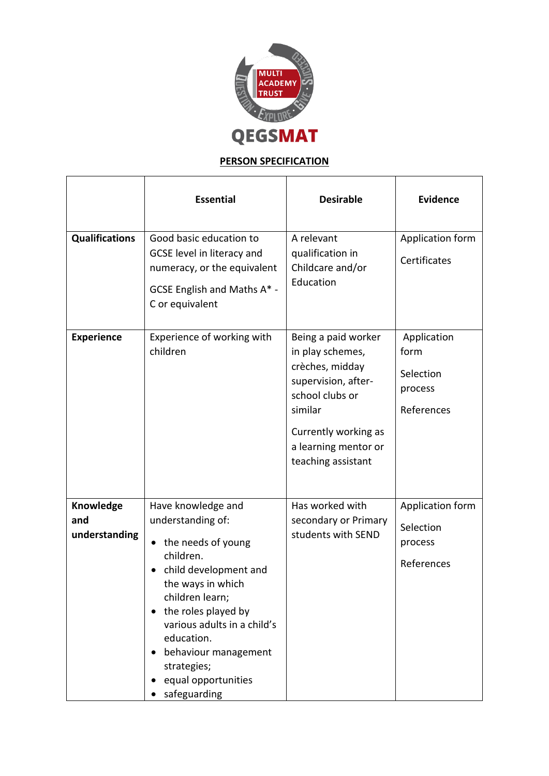

## **PERSON SPECIFICATION**

|                                          | <b>Essential</b>                                                                                                                                                                                                                                                                                           | <b>Desirable</b>                                                                                                                                                                      | <b>Evidence</b>                                           |
|------------------------------------------|------------------------------------------------------------------------------------------------------------------------------------------------------------------------------------------------------------------------------------------------------------------------------------------------------------|---------------------------------------------------------------------------------------------------------------------------------------------------------------------------------------|-----------------------------------------------------------|
| <b>Qualifications</b>                    | Good basic education to<br>GCSE level in literacy and<br>numeracy, or the equivalent<br>GCSE English and Maths A* -<br>C or equivalent                                                                                                                                                                     | A relevant<br>qualification in<br>Childcare and/or<br>Education                                                                                                                       | Application form<br>Certificates                          |
| <b>Experience</b>                        | Experience of working with<br>children                                                                                                                                                                                                                                                                     | Being a paid worker<br>in play schemes,<br>crèches, midday<br>supervision, after-<br>school clubs or<br>similar<br>Currently working as<br>a learning mentor or<br>teaching assistant | Application<br>form<br>Selection<br>process<br>References |
| <b>Knowledge</b><br>and<br>understanding | Have knowledge and<br>understanding of:<br>the needs of young<br>$\bullet$<br>children.<br>child development and<br>the ways in which<br>children learn;<br>the roles played by<br>various adults in a child's<br>education.<br>behaviour management<br>strategies;<br>equal opportunities<br>safeguarding | Has worked with<br>secondary or Primary<br>students with SEND                                                                                                                         | Application form<br>Selection<br>process<br>References    |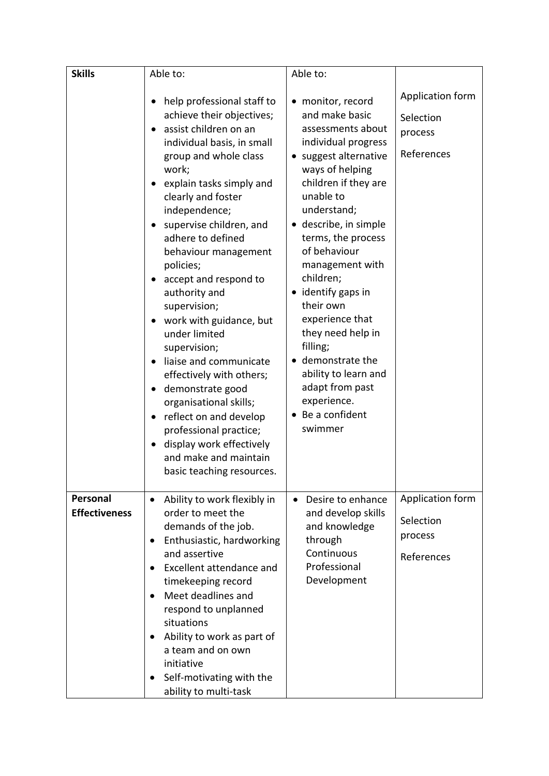| <b>Skills</b>                    | Able to:                                                                                                                                                                                                                                                                                                                                                                                                                                                                                                                                                                                                                                                                                                     | Able to:                                                                                                                                                                                                                                                                                                                                                                                                                                                                               |                                                        |
|----------------------------------|--------------------------------------------------------------------------------------------------------------------------------------------------------------------------------------------------------------------------------------------------------------------------------------------------------------------------------------------------------------------------------------------------------------------------------------------------------------------------------------------------------------------------------------------------------------------------------------------------------------------------------------------------------------------------------------------------------------|----------------------------------------------------------------------------------------------------------------------------------------------------------------------------------------------------------------------------------------------------------------------------------------------------------------------------------------------------------------------------------------------------------------------------------------------------------------------------------------|--------------------------------------------------------|
|                                  | help professional staff to<br>achieve their objectives;<br>assist children on an<br>individual basis, in small<br>group and whole class<br>work;<br>explain tasks simply and<br>٠<br>clearly and foster<br>independence;<br>supervise children, and<br>adhere to defined<br>behaviour management<br>policies;<br>accept and respond to<br>authority and<br>supervision;<br>work with guidance, but<br>under limited<br>supervision;<br>liaise and communicate<br>$\bullet$<br>effectively with others;<br>demonstrate good<br>$\bullet$<br>organisational skills;<br>reflect on and develop<br>٠<br>professional practice;<br>display work effectively<br>and make and maintain<br>basic teaching resources. | • monitor, record<br>and make basic<br>assessments about<br>individual progress<br>suggest alternative<br>$\bullet$<br>ways of helping<br>children if they are<br>unable to<br>understand;<br>describe, in simple<br>terms, the process<br>of behaviour<br>management with<br>children;<br>identify gaps in<br>their own<br>experience that<br>they need help in<br>filling;<br>demonstrate the<br>ability to learn and<br>adapt from past<br>experience.<br>Be a confident<br>swimmer | Application form<br>Selection<br>process<br>References |
| Personal<br><b>Effectiveness</b> | Ability to work flexibly in<br>$\bullet$<br>order to meet the<br>demands of the job.<br>Enthusiastic, hardworking<br>$\bullet$<br>and assertive<br>Excellent attendance and<br>$\bullet$<br>timekeeping record<br>Meet deadlines and<br>$\bullet$<br>respond to unplanned<br>situations<br>Ability to work as part of<br>٠<br>a team and on own<br>initiative<br>Self-motivating with the<br>ability to multi-task                                                                                                                                                                                                                                                                                           | Desire to enhance<br>$\bullet$<br>and develop skills<br>and knowledge<br>through<br>Continuous<br>Professional<br>Development                                                                                                                                                                                                                                                                                                                                                          | Application form<br>Selection<br>process<br>References |